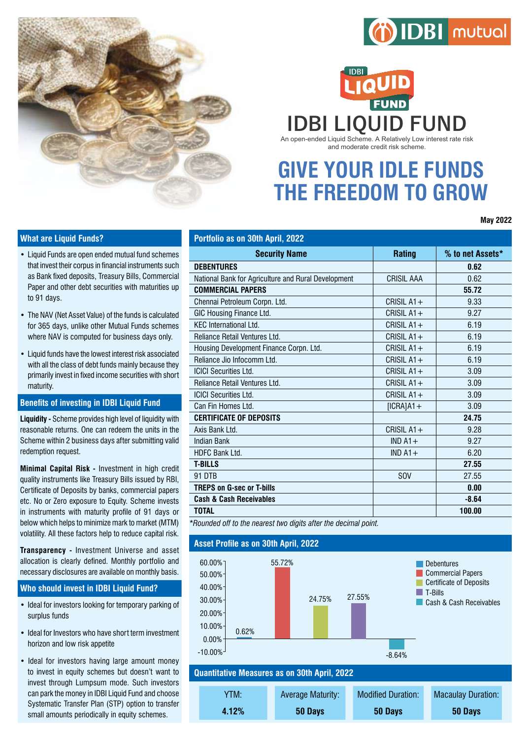

# (i) IDBI mutual

**IDBI LIQUID FUND** An open-ended Liquid Scheme. A Relatively Low interest rate risk and moderate credit risk scheme.

**GIVE YOUR IDLE FUNDS THE FREEDOM TO GROW**

**May 2022**

### **What are Liquid Funds?**

- Liquid Funds are open ended mutual fund schemes that invest their corpus in financial instruments such as Bank fixed deposits, Treasury Bills, Commercial Paper and other debt securities with maturities up to 91 days.
- The NAV (Net Asset Value) of the funds is calculated for 365 days, unlike other Mutual Funds schemes where NAV is computed for business days only.
- • Liquid funds have the lowest interest risk associated with all the class of debt funds mainly because they primarily invest in fixed income securities with short maturity.

#### **Benefits of investing in IDBI Liquid Fund**

**Liquidity -** Scheme provides high level of liquidity with reasonable returns. One can redeem the units in the Scheme within 2 business days after submitting valid redemption request.

**Minimal Capital Risk -** Investment in high credit quality instruments like Treasury Bills issued by RBI, Certificate of Deposits by banks, commercial papers etc. No or Zero exposure to Equity. Scheme invests in instruments with maturity profile of 91 days or below which helps to minimize mark to market (MTM) volatility. All these factors help to reduce capital risk.

**Transparency -** Investment Universe and asset allocation is clearly defined. Monthly portfolio and necessary disclosures are available on monthly basis.

#### **Who should invest in IDBI Liquid Fund?**

- Ideal for investors looking for temporary parking of surplus funds
- Ideal for Investors who have short term investment horizon and low risk appetite
- Ideal for investors having large amount money to invest in equity schemes but doesn't want to invest through Lumpsum mode. Such investors can park the money in IDBI Liquid Fund and choose Systematic Transfer Plan (STP) option to transfer small amounts periodically in equity schemes.

| Portfolio as on 30th April, 2022                    |              |                  |
|-----------------------------------------------------|--------------|------------------|
| <b>Security Name</b>                                | Rating       | % to net Assets* |
| <b>DEBENTURES</b>                                   |              | 0.62             |
| National Bank for Agriculture and Rural Development | CRISIL AAA   | 0.62             |
| <b>COMMERCIAL PAPERS</b>                            |              | 55.72            |
| Chennai Petroleum Corpn. Ltd.                       | CRISIL $A1+$ | 9.33             |
| GIC Housing Finance Ltd.                            | CRISIL $A1+$ | 9.27             |
| <b>KEC International Ltd.</b>                       | CRISIL $A1+$ | 6.19             |
| <b>Reliance Retail Ventures I td.</b>               | CRISIL $A1+$ | 6.19             |
| Housing Development Finance Corpn. Ltd.             | CRISIL $A1+$ | 6.19             |
| Reliance Jio Infocomm I td.                         | CRISII $A1+$ | 6.19             |
| <b>ICICI Securities Ltd.</b>                        | CRISIL $A1+$ | 3.09             |
| Reliance Retail Ventures Ltd.                       | CRISIL $A1+$ | 3.09             |
| <b>ICICI Securities Ltd.</b>                        | CRISIL $A1+$ | 3.09             |
| Can Fin Homes Ltd.                                  | $[ICRA]A1+$  | 3.09             |
| <b>CERTIFICATE OF DEPOSITS</b>                      |              | 24.75            |
| Axis Bank Ltd.                                      | CRISIL $A1+$ | 9.28             |
| <b>Indian Bank</b>                                  | IND $A1+$    | 9.27             |
| <b>HDFC Bank Ltd.</b>                               | $IND A1 +$   | 6.20             |
| <b>T-BILLS</b>                                      |              | 27.55            |
| 91 DTB                                              | <b>SOV</b>   | 27.55            |
| <b>TREPS on G-sec or T-bills</b>                    |              | 0.00             |
| <b>Cash &amp; Cash Receivables</b>                  |              | $-8.64$          |
| <b>TOTAL</b>                                        |              | 100.00           |
|                                                     |              |                  |

*\*Rounded off to the nearest two digits after the decimal point.*

#### **Asset Profile as on 30th April, 2022**



**Quantitative Measures as on 30th April, 2022**

| YTM:  | <b>Average Maturity:</b> | <b>Modified Duration:</b> | <b>Macaulay Duration:</b> |
|-------|--------------------------|---------------------------|---------------------------|
| 4.12% | 50 Days                  | 50 Days                   | 50 Days                   |